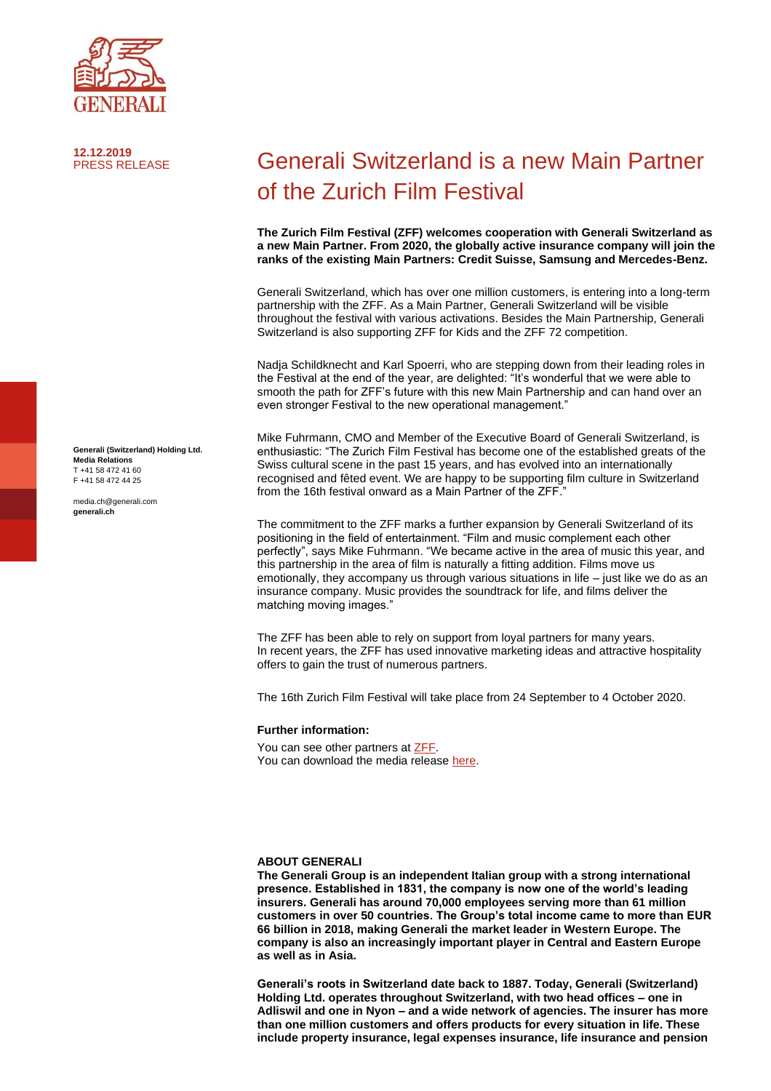

**12.12.2019**

**Generali (Switzerland) Holding Ltd. Media Relations** T +41 58 472 41 60 F +41 58 472 44 25

media.ch@generali.com **generali.ch**

## **Generali Switzerland is a new Main Partner** of the Zurich Film Festival

**The Zurich Film Festival (ZFF) welcomes cooperation with Generali Switzerland as a new Main Partner. From 2020, the globally active insurance company will join the ranks of the existing Main Partners: Credit Suisse, Samsung and Mercedes-Benz.** 

Generali Switzerland, which has over one million customers, is entering into a long-term partnership with the ZFF. As a Main Partner, Generali Switzerland will be visible throughout the festival with various activations. Besides the Main Partnership, Generali Switzerland is also supporting ZFF for Kids and the ZFF 72 competition.

Nadja Schildknecht and Karl Spoerri, who are stepping down from their leading roles in the Festival at the end of the year, are delighted: "It's wonderful that we were able to smooth the path for ZFF's future with this new Main Partnership and can hand over an even stronger Festival to the new operational management."

Mike Fuhrmann, CMO and Member of the Executive Board of Generali Switzerland, is enthusiastic: "The Zurich Film Festival has become one of the established greats of the Swiss cultural scene in the past 15 years, and has evolved into an internationally recognised and fêted event. We are happy to be supporting film culture in Switzerland from the 16th festival onward as a Main Partner of the ZFF."

The commitment to the ZFF marks a further expansion by Generali Switzerland of its positioning in the field of entertainment. "Film and music complement each other perfectly", says Mike Fuhrmann. "We became active in the area of music this year, and this partnership in the area of film is naturally a fitting addition. Films move us emotionally, they accompany us through various situations in life  $-$  just like we do as an insurance company. Music provides the soundtrack for life, and films deliver the matching moving images."

The ZFF has been able to rely on support from loyal partners for many years. In recent years, the ZFF has used innovative marketing ideas and attractive hospitality offers to gain the trust of numerous partners.

The 16th Zurich Film Festival will take place from 24 September to 4 October 2020.

## **Further information:**

You can see other partners a[t ZFF.](http://www.zff.com/) You can download the media release [here.](https://www.generali.ch/en/allgemein/medienmitteilungen)

## **ABOUT GENERALI**

**The Generali Group is an independent Italian group with a strong international presence. Established in 1831, the company is now one of the world's leading insurers. Generali has around 70,000 employees serving more than 61 million customers in over 50 countries. The Group's total income came to more than EUR 66 billion in 2018, making Generali the market leader in Western Europe. The company is also an increasingly important player in Central and Eastern Europe as well as in Asia.** 

**Generali's roots in Switzerland date back to 1887. Today, Generali (Switzerland) Holding Ltd. operates throughout Switzerland, with two head offices – one in Adliswil and one in Nyon – and a wide network of agencies. The insurer has more than one million customers and offers products for every situation in life. These include property insurance, legal expenses insurance, life insurance and pension**